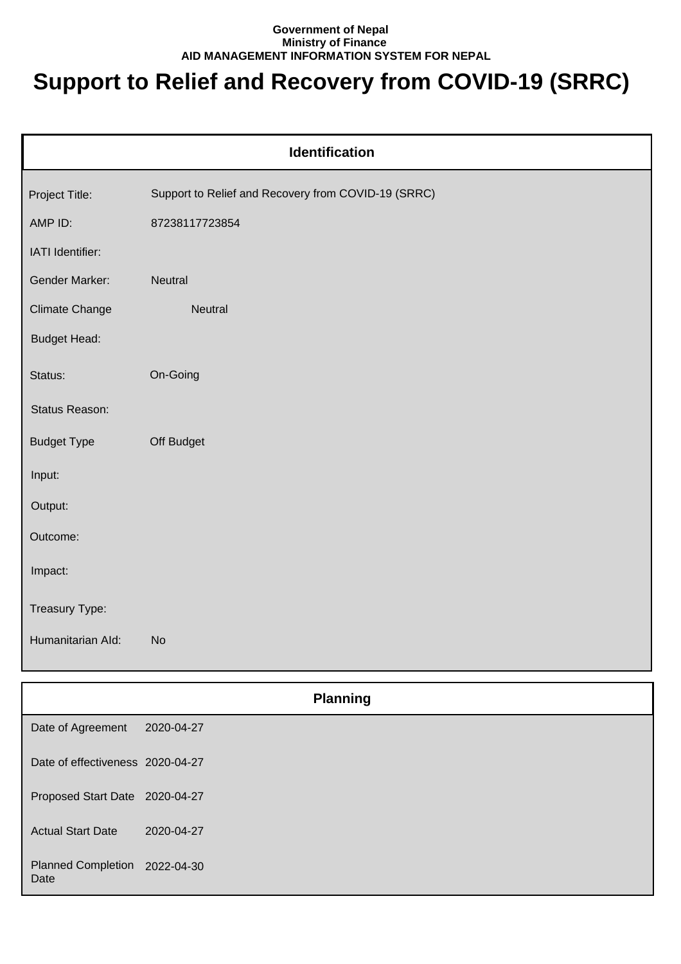## **Government of Nepal Ministry of Finance AID MANAGEMENT INFORMATION SYSTEM FOR NEPAL**

## **Support to Relief and Recovery from COVID-19 (SRRC)**

| <b>Identification</b>            |                                                     |  |
|----------------------------------|-----------------------------------------------------|--|
| Project Title:                   | Support to Relief and Recovery from COVID-19 (SRRC) |  |
| AMP ID:                          | 87238117723854                                      |  |
| IATI Identifier:                 |                                                     |  |
| Gender Marker:                   | Neutral                                             |  |
| Climate Change                   | Neutral                                             |  |
| <b>Budget Head:</b>              |                                                     |  |
| Status:                          | On-Going                                            |  |
| Status Reason:                   |                                                     |  |
| <b>Budget Type</b>               | Off Budget                                          |  |
| Input:                           |                                                     |  |
| Output:                          |                                                     |  |
| Outcome:                         |                                                     |  |
| Impact:                          |                                                     |  |
| Treasury Type:                   |                                                     |  |
| Humanitarian Ald:                | No                                                  |  |
|                                  |                                                     |  |
|                                  | <b>Planning</b>                                     |  |
| Date of Agreement                | 2020-04-27                                          |  |
| Date of effectiveness 2020-04-27 |                                                     |  |
| Proposed Start Date 2020-04-27   |                                                     |  |

Actual Start Date 2020-04-27

Planned Completion 2022-04-30 Date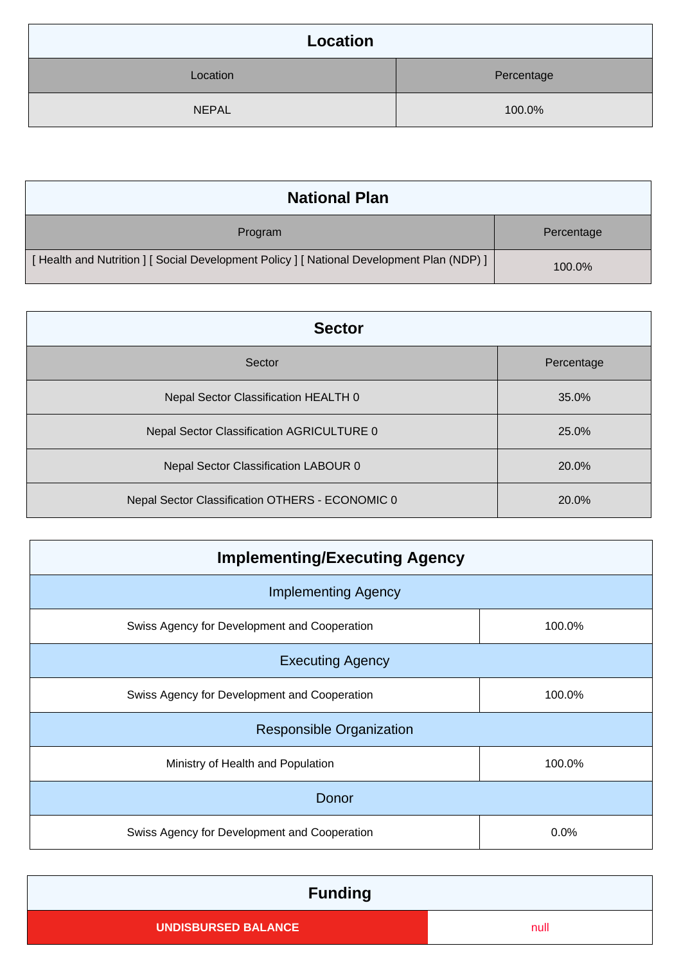| Location     |            |
|--------------|------------|
| Location     | Percentage |
| <b>NEPAL</b> | 100.0%     |

| <b>National Plan</b>                                                                    |            |
|-----------------------------------------------------------------------------------------|------------|
| Program                                                                                 | Percentage |
| [Health and Nutrition ] [Social Development Policy ] [National Development Plan (NDP) ] | 100.0%     |

| <b>Sector</b>                                   |            |
|-------------------------------------------------|------------|
| Sector                                          | Percentage |
| Nepal Sector Classification HEALTH 0            | 35.0%      |
| Nepal Sector Classification AGRICULTURE 0       | 25.0%      |
| Nepal Sector Classification LABOUR 0            | 20.0%      |
| Nepal Sector Classification OTHERS - ECONOMIC 0 | 20.0%      |

| <b>Implementing/Executing Agency</b>         |        |  |  |
|----------------------------------------------|--------|--|--|
| <b>Implementing Agency</b>                   |        |  |  |
| Swiss Agency for Development and Cooperation | 100.0% |  |  |
| <b>Executing Agency</b>                      |        |  |  |
| Swiss Agency for Development and Cooperation | 100.0% |  |  |
| <b>Responsible Organization</b>              |        |  |  |
| Ministry of Health and Population            | 100.0% |  |  |
| Donor                                        |        |  |  |
| Swiss Agency for Development and Cooperation | 0.0%   |  |  |

| <b>Funding</b>             |      |
|----------------------------|------|
| <b>UNDISBURSED BALANCE</b> | null |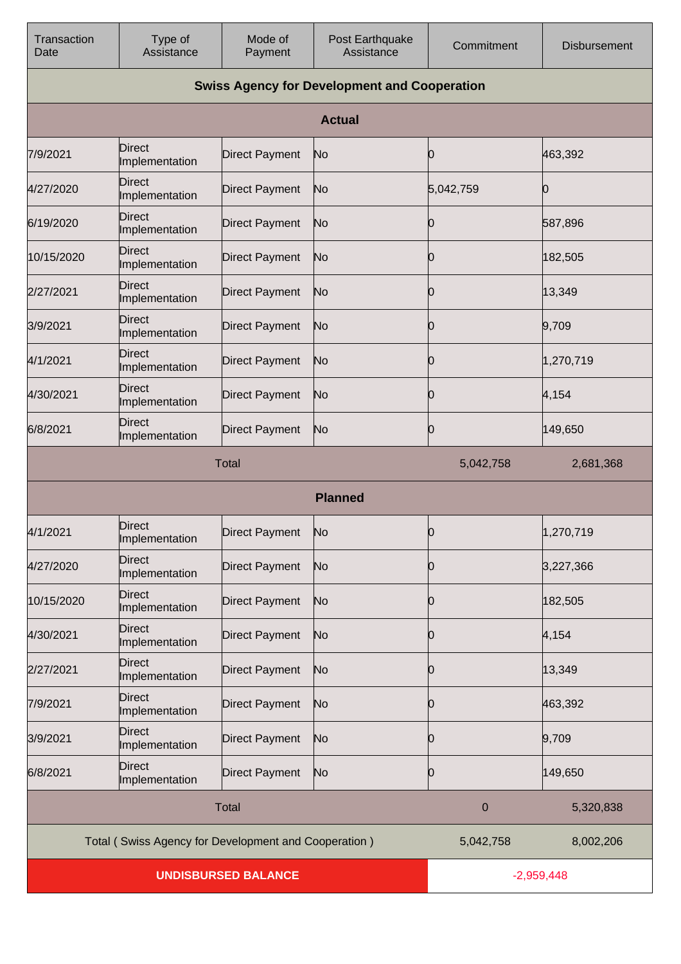| Transaction<br>Date        | Type of<br>Assistance                                | Mode of<br>Payment    | Post Earthquake<br>Assistance                       | Commitment   | <b>Disbursement</b> |
|----------------------------|------------------------------------------------------|-----------------------|-----------------------------------------------------|--------------|---------------------|
|                            |                                                      |                       | <b>Swiss Agency for Development and Cooperation</b> |              |                     |
|                            |                                                      |                       | <b>Actual</b>                                       |              |                     |
| 7/9/2021                   | Direct<br>Implementation                             | <b>Direct Payment</b> | No                                                  | Ю            | 463,392             |
| 4/27/2020                  | <b>Direct</b><br>Implementation                      | Direct Payment        | No                                                  | 5,042,759    | 0                   |
| 6/19/2020                  | Direct<br>Implementation                             | <b>Direct Payment</b> | No                                                  | Ю            | 587,896             |
| 10/15/2020                 | Direct<br>Implementation                             | Direct Payment        | No                                                  | Ю            | 182,505             |
| 2/27/2021                  | <b>Direct</b><br>Implementation                      | <b>Direct Payment</b> | No                                                  | 0            | 13,349              |
| 3/9/2021                   | Direct<br>Implementation                             | <b>Direct Payment</b> | No                                                  | Ю            | 9,709               |
| 4/1/2021                   | <b>Direct</b><br>Implementation                      | <b>Direct Payment</b> | No                                                  | Ю            | 1,270,719           |
| 4/30/2021                  | <b>Direct</b><br>Implementation                      | <b>Direct Payment</b> | No                                                  | Ю            | 4,154               |
| 6/8/2021                   | <b>Direct</b><br>Implementation                      | <b>Direct Payment</b> | No                                                  | 0            | 149,650             |
|                            |                                                      | <b>Total</b>          |                                                     | 5,042,758    | 2,681,368           |
|                            |                                                      |                       | <b>Planned</b>                                      |              |                     |
| 4/1/2021                   | <b>Direct</b><br>Implementation                      | <b>Direct Payment</b> | No                                                  | 0            | 1,270,719           |
| 4/27/2020                  | Direct<br>Implementation                             | <b>Direct Payment</b> | No                                                  | Ю            | 3,227,366           |
| 10/15/2020                 | <b>Direct</b><br>Implementation                      | <b>Direct Payment</b> | No                                                  | 0            | 182,505             |
| 4/30/2021                  | <b>Direct</b><br>Implementation                      | <b>Direct Payment</b> | No                                                  | Ю            | 4,154               |
| 2/27/2021                  | Direct<br>Implementation                             | <b>Direct Payment</b> | No                                                  | 0            | 13,349              |
| 7/9/2021                   | <b>Direct</b><br>Implementation                      | <b>Direct Payment</b> | No                                                  | 10           | 463,392             |
| 3/9/2021                   | <b>Direct</b><br>Implementation                      | <b>Direct Payment</b> | No                                                  | 0            | 9,709               |
| 6/8/2021                   | <b>Direct</b><br>Implementation                      | <b>Direct Payment</b> | No                                                  | Ю            | 149,650             |
|                            |                                                      | <b>Total</b>          |                                                     | $\mathbf 0$  | 5,320,838           |
|                            | Total (Swiss Agency for Development and Cooperation) |                       |                                                     | 5,042,758    | 8,002,206           |
| <b>UNDISBURSED BALANCE</b> |                                                      |                       |                                                     | $-2,959,448$ |                     |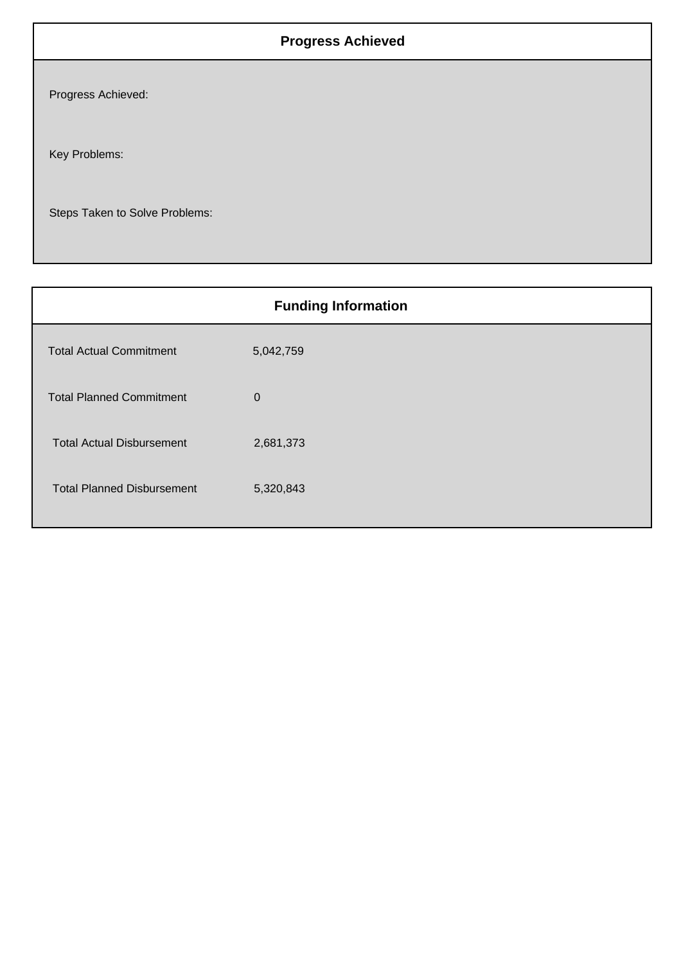## **Progress Achieved**

Progress Achieved:

Key Problems:

Steps Taken to Solve Problems:

| <b>Funding Information</b>        |             |  |
|-----------------------------------|-------------|--|
| <b>Total Actual Commitment</b>    | 5,042,759   |  |
| <b>Total Planned Commitment</b>   | $\mathbf 0$ |  |
| <b>Total Actual Disbursement</b>  | 2,681,373   |  |
| <b>Total Planned Disbursement</b> | 5,320,843   |  |
|                                   |             |  |